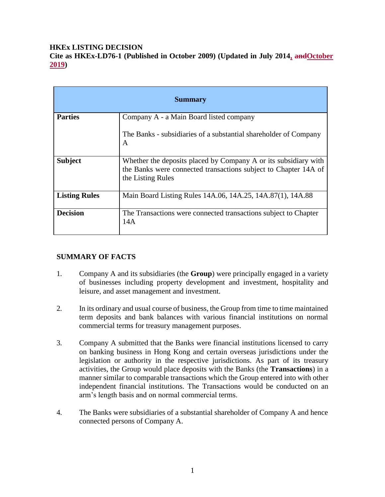### **HKEx LISTING DECISION**

**Cite as HKEx-LD76-1 (Published in October 2009) (Updated in July 2014, andOctober 2019)**

| <b>Summary</b>       |                                                                                                                                                         |
|----------------------|---------------------------------------------------------------------------------------------------------------------------------------------------------|
| <b>Parties</b>       | Company A - a Main Board listed company                                                                                                                 |
|                      | The Banks - subsidiaries of a substantial shareholder of Company<br>A                                                                                   |
| <b>Subject</b>       | Whether the deposits placed by Company A or its subsidiary with<br>the Banks were connected transactions subject to Chapter 14A of<br>the Listing Rules |
| <b>Listing Rules</b> | Main Board Listing Rules 14A.06, 14A.25, 14A.87(1), 14A.88                                                                                              |
| <b>Decision</b>      | The Transactions were connected transactions subject to Chapter<br>14A                                                                                  |

# **SUMMARY OF FACTS**

- 1. Company A and its subsidiaries (the **Group**) were principally engaged in a variety of businesses including property development and investment, hospitality and leisure, and asset management and investment.
- 2. In its ordinary and usual course of business, the Group from time to time maintained term deposits and bank balances with various financial institutions on normal commercial terms for treasury management purposes.
- 3. Company A submitted that the Banks were financial institutions licensed to carry on banking business in Hong Kong and certain overseas jurisdictions under the legislation or authority in the respective jurisdictions. As part of its treasury activities, the Group would place deposits with the Banks (the **Transactions**) in a manner similar to comparable transactions which the Group entered into with other independent financial institutions. The Transactions would be conducted on an arm's length basis and on normal commercial terms.
- 4. The Banks were subsidiaries of a substantial shareholder of Company A and hence connected persons of Company A.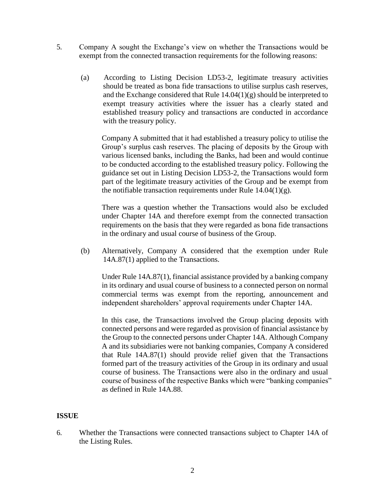- 5. Company A sought the Exchange's view on whether the Transactions would be exempt from the connected transaction requirements for the following reasons:
	- (a) According to Listing Decision LD53-2, legitimate treasury activities should be treated as bona fide transactions to utilise surplus cash reserves, and the Exchange considered that Rule  $14.04(1)(g)$  should be interpreted to exempt treasury activities where the issuer has a clearly stated and established treasury policy and transactions are conducted in accordance with the treasury policy.

Company A submitted that it had established a treasury policy to utilise the Group's surplus cash reserves. The placing of deposits by the Group with various licensed banks, including the Banks, had been and would continue to be conducted according to the established treasury policy. Following the guidance set out in Listing Decision LD53-2, the Transactions would form part of the legitimate treasury activities of the Group and be exempt from the notifiable transaction requirements under Rule  $14.04(1)(g)$ .

There was a question whether the Transactions would also be excluded under Chapter 14A and therefore exempt from the connected transaction requirements on the basis that they were regarded as bona fide transactions in the ordinary and usual course of business of the Group.

(b) Alternatively, Company A considered that the exemption under Rule 14A.87(1) applied to the Transactions.

Under Rule 14A.87(1), financial assistance provided by a banking company in its ordinary and usual course of business to a connected person on normal commercial terms was exempt from the reporting, announcement and independent shareholders' approval requirements under Chapter 14A.

In this case, the Transactions involved the Group placing deposits with connected persons and were regarded as provision of financial assistance by the Group to the connected persons under Chapter 14A. Although Company A and its subsidiaries were not banking companies, Company A considered that Rule 14A.87(1) should provide relief given that the Transactions formed part of the treasury activities of the Group in its ordinary and usual course of business. The Transactions were also in the ordinary and usual course of business of the respective Banks which were "banking companies" as defined in Rule 14A.88.

### **ISSUE**

6. Whether the Transactions were connected transactions subject to Chapter 14A of the Listing Rules.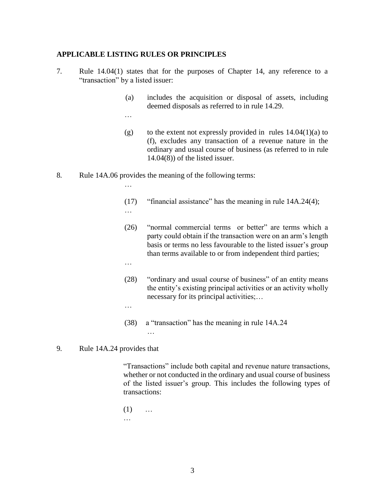#### **APPLICABLE LISTING RULES OR PRINCIPLES**

- 7. Rule 14.04(1) states that for the purposes of Chapter 14, any reference to a "transaction" by a listed issuer:
	- (a) includes the acquisition or disposal of assets, including deemed disposals as referred to in rule 14.29.
	- …
	- (g) to the extent not expressly provided in rules  $14.04(1)(a)$  to (f), excludes any transaction of a revenue nature in the ordinary and usual course of business (as referred to in rule 14.04(8)) of the listed issuer.
- 8. Rule 14A.06 provides the meaning of the following terms:
	- (17) "financial assistance" has the meaning in rule 14A.24(4);
	- …

…

- (26) "normal commercial terms or better" are terms which a party could obtain if the transaction were on an arm's length basis or terms no less favourable to the listed issuer's group than terms available to or from independent third parties;
- …

…

- (28) "ordinary and usual course of business" of an entity means the entity's existing principal activities or an activity wholly necessary for its principal activities;…
- (38) a "transaction" has the meaning in rule 14A.24

…

9. Rule 14A.24 provides that

"Transactions" include both capital and revenue nature transactions, whether or not conducted in the ordinary and usual course of business of the listed issuer's group. This includes the following types of transactions:

 $(1)$  ... …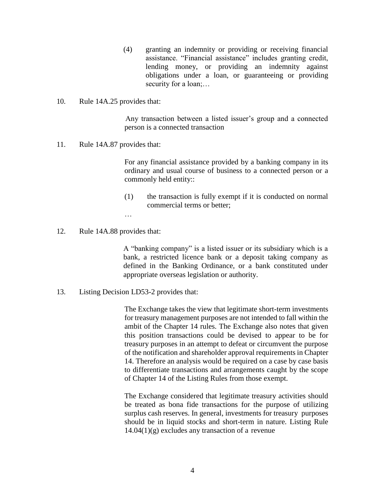- (4) granting an indemnity or providing or receiving financial assistance. "Financial assistance" includes granting credit, lending money, or providing an indemnity against obligations under a loan, or guaranteeing or providing security for a loan;…
- 10. Rule 14A.25 provides that:

Any transaction between a listed issuer's group and a connected person is a connected transaction

11. Rule 14A.87 provides that:

For any financial assistance provided by a banking company in its ordinary and usual course of business to a connected person or a commonly held entity::

(1) the transaction is fully exempt if it is conducted on normal commercial terms or better;

…

12. Rule 14A.88 provides that:

A "banking company" is a listed issuer or its subsidiary which is a bank, a restricted licence bank or a deposit taking company as defined in the Banking Ordinance, or a bank constituted under appropriate overseas legislation or authority.

13. Listing Decision LD53-2 provides that:

The Exchange takes the view that legitimate short-term investments for treasury management purposes are not intended to fall within the ambit of the Chapter 14 rules. The Exchange also notes that given this position transactions could be devised to appear to be for treasury purposes in an attempt to defeat or circumvent the purpose of the notification and shareholder approval requirements in Chapter 14. Therefore an analysis would be required on a case by case basis to differentiate transactions and arrangements caught by the scope of Chapter 14 of the Listing Rules from those exempt.

The Exchange considered that legitimate treasury activities should be treated as bona fide transactions for the purpose of utilizing surplus cash reserves. In general, investments for treasury purposes should be in liquid stocks and short-term in nature. Listing Rule  $14.04(1)(g)$  excludes any transaction of a revenue